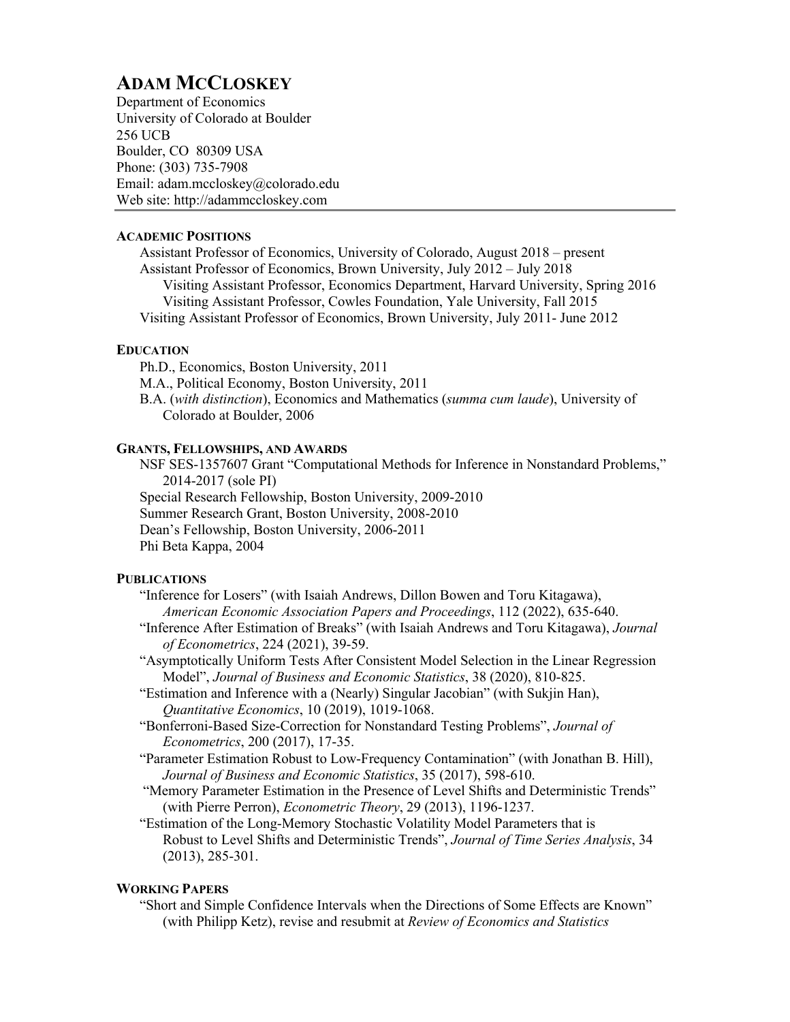# **ADAM MCCLOSKEY**

Department of Economics University of Colorado at Boulder 256 UCB Boulder, CO 80309 USA Phone: (303) 735-7908 Email: adam.mccloskey@colorado.edu Web site: http://adammccloskey.com

### **ACADEMIC POSITIONS**

Assistant Professor of Economics, University of Colorado, August 2018 – present Assistant Professor of Economics, Brown University, July 2012 – July 2018 Visiting Assistant Professor, Economics Department, Harvard University, Spring 2016 Visiting Assistant Professor, Cowles Foundation, Yale University, Fall 2015 Visiting Assistant Professor of Economics, Brown University, July 2011- June 2012

## **EDUCATION**

Ph.D., Economics, Boston University, 2011 M.A., Political Economy, Boston University, 2011 B.A. (*with distinction*), Economics and Mathematics (*summa cum laude*), University of Colorado at Boulder, 2006

## **GRANTS, FELLOWSHIPS, AND AWARDS**

NSF SES-1357607 Grant "Computational Methods for Inference in Nonstandard Problems," 2014-2017 (sole PI) Special Research Fellowship, Boston University, 2009-2010 Summer Research Grant, Boston University, 2008-2010 Dean's Fellowship, Boston University, 2006-2011 Phi Beta Kappa, 2004

## **PUBLICATIONS**

- "Inference for Losers" (with Isaiah Andrews, Dillon Bowen and Toru Kitagawa), *American Economic Association Papers and Proceedings*, 112 (2022), 635-640.
- "Inference After Estimation of Breaks" (with Isaiah Andrews and Toru Kitagawa), *Journal of Econometrics*, 224 (2021), 39-59.
- "Asymptotically Uniform Tests After Consistent Model Selection in the Linear Regression Model", *Journal of Business and Economic Statistics*, 38 (2020), 810-825.
- "Estimation and Inference with a (Nearly) Singular Jacobian" (with Sukjin Han), *Quantitative Economics*, 10 (2019), 1019-1068.
- "Bonferroni-Based Size-Correction for Nonstandard Testing Problems", *Journal of Econometrics*, 200 (2017), 17-35.
- "Parameter Estimation Robust to Low-Frequency Contamination" (with Jonathan B. Hill), *Journal of Business and Economic Statistics*, 35 (2017), 598-610.
- "Memory Parameter Estimation in the Presence of Level Shifts and Deterministic Trends" (with Pierre Perron), *Econometric Theory*, 29 (2013), 1196-1237.
- "Estimation of the Long-Memory Stochastic Volatility Model Parameters that is Robust to Level Shifts and Deterministic Trends", *Journal of Time Series Analysis*, 34 (2013), 285-301.

## **WORKING PAPERS**

"Short and Simple Confidence Intervals when the Directions of Some Effects are Known" (with Philipp Ketz), revise and resubmit at *Review of Economics and Statistics*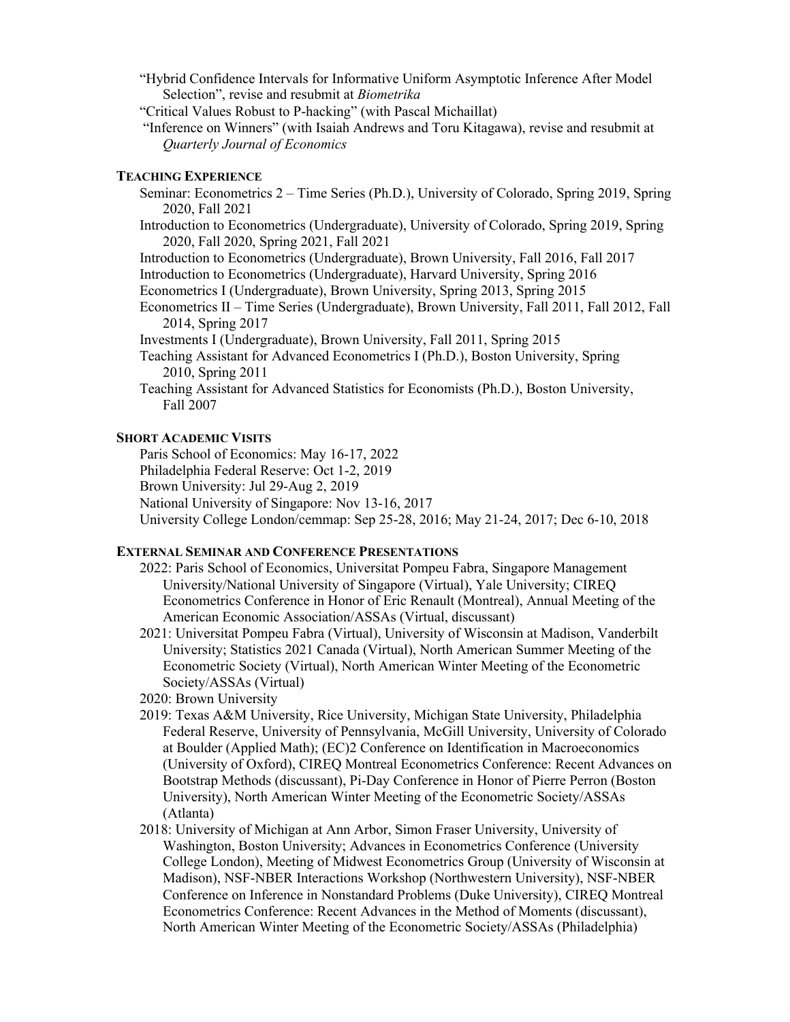"Hybrid Confidence Intervals for Informative Uniform Asymptotic Inference After Model Selection", revise and resubmit at *Biometrika*

- "Critical Values Robust to P-hacking" (with Pascal Michaillat)
- "Inference on Winners" (with Isaiah Andrews and Toru Kitagawa), revise and resubmit at *Quarterly Journal of Economics*

#### **TEACHING EXPERIENCE**

- Seminar: Econometrics 2 Time Series (Ph.D.), University of Colorado, Spring 2019, Spring 2020, Fall 2021
- Introduction to Econometrics (Undergraduate), University of Colorado, Spring 2019, Spring 2020, Fall 2020, Spring 2021, Fall 2021

Introduction to Econometrics (Undergraduate), Brown University, Fall 2016, Fall 2017

- Introduction to Econometrics (Undergraduate), Harvard University, Spring 2016
- Econometrics I (Undergraduate), Brown University, Spring 2013, Spring 2015
- Econometrics II Time Series (Undergraduate), Brown University, Fall 2011, Fall 2012, Fall 2014, Spring 2017
- Investments I (Undergraduate), Brown University, Fall 2011, Spring 2015
- Teaching Assistant for Advanced Econometrics I (Ph.D.), Boston University, Spring 2010, Spring 2011
- Teaching Assistant for Advanced Statistics for Economists (Ph.D.), Boston University, Fall 2007

#### **SHORT ACADEMIC VISITS**

Paris School of Economics: May 16-17, 2022

Philadelphia Federal Reserve: Oct 1-2, 2019

Brown University: Jul 29-Aug 2, 2019

National University of Singapore: Nov 13-16, 2017

University College London/cemmap: Sep 25-28, 2016; May 21-24, 2017; Dec 6-10, 2018

#### **EXTERNAL SEMINAR AND CONFERENCE PRESENTATIONS**

- 2022: Paris School of Economics, Universitat Pompeu Fabra, Singapore Management University/National University of Singapore (Virtual), Yale University; CIREQ Econometrics Conference in Honor of Eric Renault (Montreal), Annual Meeting of the American Economic Association/ASSAs (Virtual, discussant)
- 2021: Universitat Pompeu Fabra (Virtual), University of Wisconsin at Madison, Vanderbilt University; Statistics 2021 Canada (Virtual), North American Summer Meeting of the Econometric Society (Virtual), North American Winter Meeting of the Econometric Society/ASSAs (Virtual)
- 2020: Brown University
- 2019: Texas A&M University, Rice University, Michigan State University, Philadelphia Federal Reserve, University of Pennsylvania, McGill University, University of Colorado at Boulder (Applied Math); (EC)2 Conference on Identification in Macroeconomics (University of Oxford), CIREQ Montreal Econometrics Conference: Recent Advances on Bootstrap Methods (discussant), Pi-Day Conference in Honor of Pierre Perron (Boston University), North American Winter Meeting of the Econometric Society/ASSAs (Atlanta)
- 2018: University of Michigan at Ann Arbor, Simon Fraser University, University of Washington, Boston University; Advances in Econometrics Conference (University College London), Meeting of Midwest Econometrics Group (University of Wisconsin at Madison), NSF-NBER Interactions Workshop (Northwestern University), NSF-NBER Conference on Inference in Nonstandard Problems (Duke University), CIREQ Montreal Econometrics Conference: Recent Advances in the Method of Moments (discussant), North American Winter Meeting of the Econometric Society/ASSAs (Philadelphia)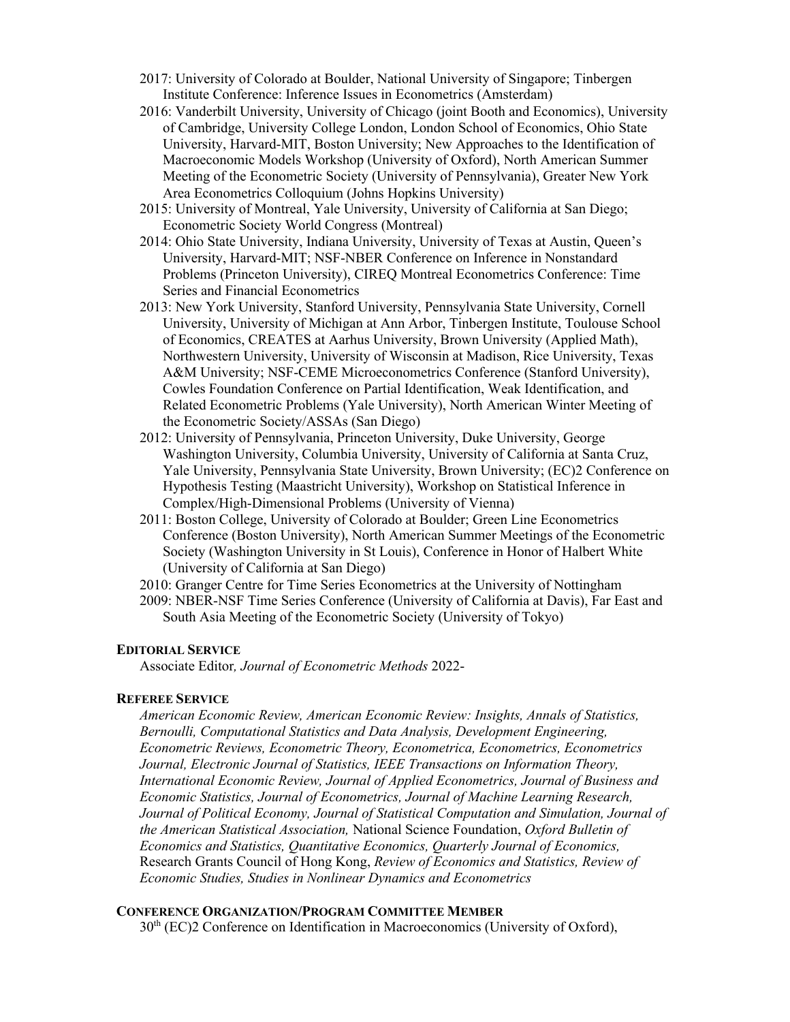- 2017: University of Colorado at Boulder, National University of Singapore; Tinbergen Institute Conference: Inference Issues in Econometrics (Amsterdam)
- 2016: Vanderbilt University, University of Chicago (joint Booth and Economics), University of Cambridge, University College London, London School of Economics, Ohio State University, Harvard-MIT, Boston University; New Approaches to the Identification of Macroeconomic Models Workshop (University of Oxford), North American Summer Meeting of the Econometric Society (University of Pennsylvania), Greater New York Area Econometrics Colloquium (Johns Hopkins University)
- 2015: University of Montreal, Yale University, University of California at San Diego; Econometric Society World Congress (Montreal)
- 2014: Ohio State University, Indiana University, University of Texas at Austin, Queen's University, Harvard-MIT; NSF-NBER Conference on Inference in Nonstandard Problems (Princeton University), CIREQ Montreal Econometrics Conference: Time Series and Financial Econometrics
- 2013: New York University, Stanford University, Pennsylvania State University, Cornell University, University of Michigan at Ann Arbor, Tinbergen Institute, Toulouse School of Economics, CREATES at Aarhus University, Brown University (Applied Math), Northwestern University, University of Wisconsin at Madison, Rice University, Texas A&M University; NSF-CEME Microeconometrics Conference (Stanford University), Cowles Foundation Conference on Partial Identification, Weak Identification, and Related Econometric Problems (Yale University), North American Winter Meeting of the Econometric Society/ASSAs (San Diego)
- 2012: University of Pennsylvania, Princeton University, Duke University, George Washington University, Columbia University, University of California at Santa Cruz, Yale University, Pennsylvania State University, Brown University; (EC)2 Conference on Hypothesis Testing (Maastricht University), Workshop on Statistical Inference in Complex/High-Dimensional Problems (University of Vienna)
- 2011: Boston College, University of Colorado at Boulder; Green Line Econometrics Conference (Boston University), North American Summer Meetings of the Econometric Society (Washington University in St Louis), Conference in Honor of Halbert White (University of California at San Diego)
- 2010: Granger Centre for Time Series Econometrics at the University of Nottingham
- 2009: NBER-NSF Time Series Conference (University of California at Davis), Far East and South Asia Meeting of the Econometric Society (University of Tokyo)

#### **EDITORIAL SERVICE**

Associate Editor*, Journal of Econometric Methods* 2022-

#### **REFEREE SERVICE**

*American Economic Review, American Economic Review: Insights, Annals of Statistics, Bernoulli, Computational Statistics and Data Analysis, Development Engineering, Econometric Reviews, Econometric Theory, Econometrica, Econometrics, Econometrics Journal, Electronic Journal of Statistics, IEEE Transactions on Information Theory, International Economic Review, Journal of Applied Econometrics, Journal of Business and Economic Statistics, Journal of Econometrics, Journal of Machine Learning Research, Journal of Political Economy, Journal of Statistical Computation and Simulation, Journal of the American Statistical Association,* National Science Foundation, *Oxford Bulletin of Economics and Statistics, Quantitative Economics, Quarterly Journal of Economics,* Research Grants Council of Hong Kong, *Review of Economics and Statistics, Review of Economic Studies, Studies in Nonlinear Dynamics and Econometrics*

## **CONFERENCE ORGANIZATION/PROGRAM COMMITTEE MEMBER**

 $30<sup>th</sup>$  (EC)2 Conference on Identification in Macroeconomics (University of Oxford),